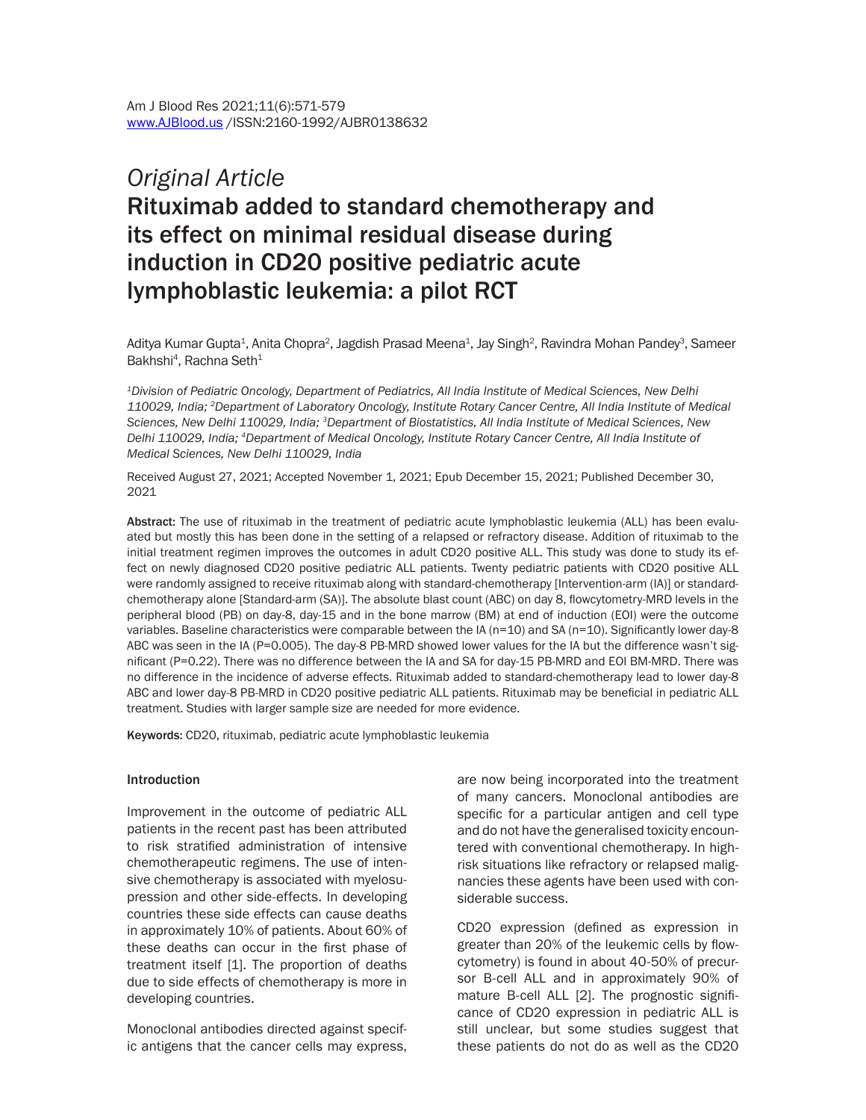# *Original Article* Rituximab added to standard chemotherapy and its effect on minimal residual disease during induction in CD20 positive pediatric acute lymphoblastic leukemia: a pilot RCT

Aditya Kumar Gupta<sup>1</sup>, Anita Chopra<sup>2</sup>, Jagdish Prasad Meena<sup>1</sup>, Jay Singh<sup>2</sup>, Ravindra Mohan Pandey<sup>3</sup>, Sameer Bakhshi<sup>4</sup>, Rachna Seth<sup>1</sup>

*1Division of Pediatric Oncology, Department of Pediatrics, All India Institute of Medical Sciences, New Delhi 110029, India; 2Department of Laboratory Oncology, Institute Rotary Cancer Centre, All India Institute of Medical Sciences, New Delhi 110029, India; 3Department of Biostatistics, All India Institute of Medical Sciences, New Delhi 110029, India; 4Department of Medical Oncology, Institute Rotary Cancer Centre, All India Institute of Medical Sciences, New Delhi 110029, India*

Received August 27, 2021; Accepted November 1, 2021; Epub December 15, 2021; Published December 30, 2021

Abstract: The use of rituximab in the treatment of pediatric acute lymphoblastic leukemia (ALL) has been evaluated but mostly this has been done in the setting of a relapsed or refractory disease. Addition of rituximab to the initial treatment regimen improves the outcomes in adult CD20 positive ALL. This study was done to study its effect on newly diagnosed CD20 positive pediatric ALL patients. Twenty pediatric patients with CD20 positive ALL were randomly assigned to receive rituximab along with standard-chemotherapy [Intervention-arm (IA)] or standardchemotherapy alone [Standard-arm (SA)]. The absolute blast count (ABC) on day 8, flowcytometry-MRD levels in the peripheral blood (PB) on day-8, day-15 and in the bone marrow (BM) at end of induction (EOI) were the outcome variables. Baseline characteristics were comparable between the IA (n=10) and SA (n=10). Significantly lower day-8 ABC was seen in the IA (P=0.005). The day-8 PB-MRD showed lower values for the IA but the difference wasn't significant (P=0.22). There was no difference between the IA and SA for day-15 PB-MRD and EOI BM-MRD. There was no difference in the incidence of adverse effects. Rituximab added to standard-chemotherapy lead to lower day-8 ABC and lower day-8 PB-MRD in CD20 positive pediatric ALL patients. Rituximab may be beneficial in pediatric ALL treatment. Studies with larger sample size are needed for more evidence.

Keywords: CD20, rituximab, pediatric acute lymphoblastic leukemia

#### Introduction

Improvement in the outcome of pediatric ALL patients in the recent past has been attributed to risk stratified administration of intensive chemotherapeutic regimens. The use of intensive chemotherapy is associated with myelosupression and other side-effects. In developing countries these side effects can cause deaths in approximately 10% of patients. About 60% of these deaths can occur in the first phase of treatment itself [1]. The proportion of deaths due to side effects of chemotherapy is more in developing countries.

Monoclonal antibodies directed against specific antigens that the cancer cells may express, are now being incorporated into the treatment of many cancers. Monoclonal antibodies are specific for a particular antigen and cell type and do not have the generalised toxicity encountered with conventional chemotherapy. In highrisk situations like refractory or relapsed malignancies these agents have been used with considerable success.

CD20 expression (defined as expression in greater than 20% of the leukemic cells by flowcytometry) is found in about 40-50% of precursor B-cell ALL and in approximately 90% of mature B-cell ALL [2]. The prognostic significance of CD20 expression in pediatric ALL is still unclear, but some studies suggest that these patients do not do as well as the CD20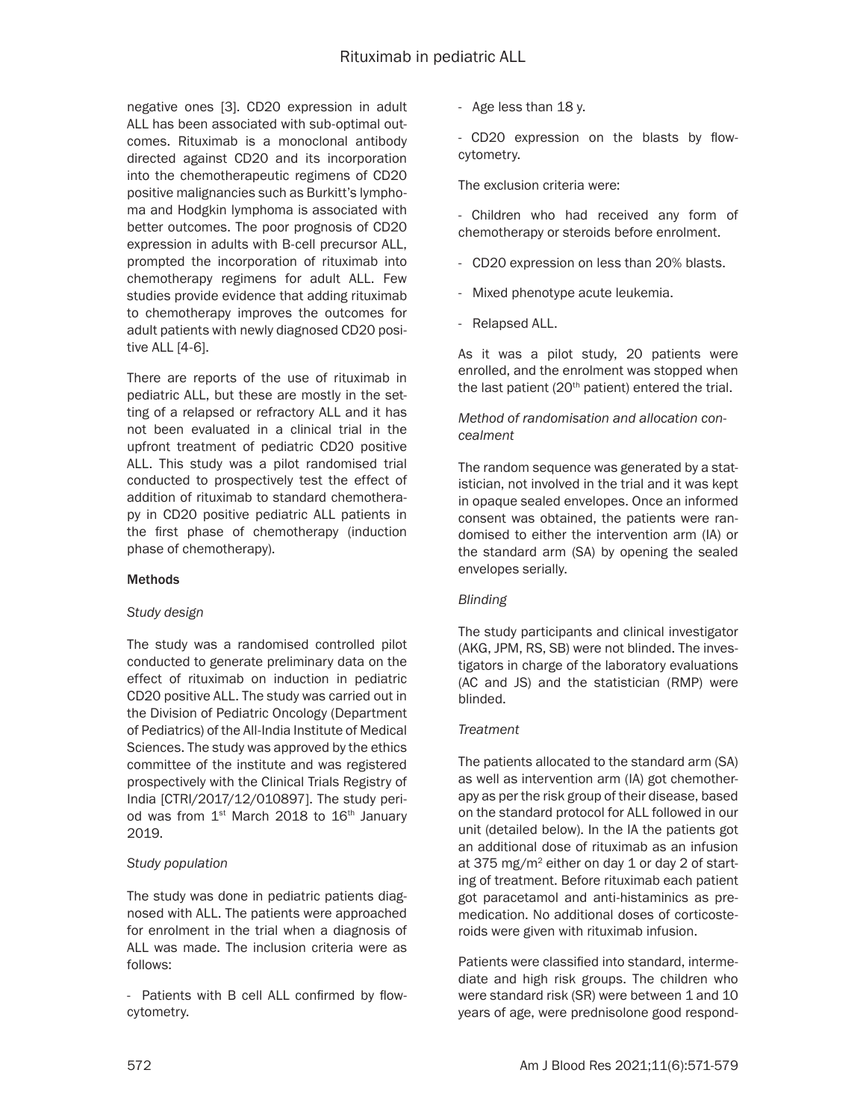negative ones [3]. CD20 expression in adult ALL has been associated with sub-optimal outcomes. Rituximab is a monoclonal antibody directed against CD20 and its incorporation into the chemotherapeutic regimens of CD20 positive malignancies such as Burkitt's lymphoma and Hodgkin lymphoma is associated with better outcomes. The poor prognosis of CD20 expression in adults with B-cell precursor ALL, prompted the incorporation of rituximab into chemotherapy regimens for adult ALL. Few studies provide evidence that adding rituximab to chemotherapy improves the outcomes for adult patients with newly diagnosed CD20 positive ALL [4-6].

There are reports of the use of rituximab in pediatric ALL, but these are mostly in the setting of a relapsed or refractory ALL and it has not been evaluated in a clinical trial in the upfront treatment of pediatric CD20 positive ALL. This study was a pilot randomised trial conducted to prospectively test the effect of addition of rituximab to standard chemotherapy in CD20 positive pediatric ALL patients in the first phase of chemotherapy (induction phase of chemotherapy).

## **Methods**

## *Study design*

The study was a randomised controlled pilot conducted to generate preliminary data on the effect of rituximab on induction in pediatric CD20 positive ALL. The study was carried out in the Division of Pediatric Oncology (Department of Pediatrics) of the All-India Institute of Medical Sciences. The study was approved by the ethics committee of the institute and was registered prospectively with the Clinical Trials Registry of India [CTRI/2017/12/010897]. The study period was from 1<sup>st</sup> March 2018 to 16<sup>th</sup> January 2019.

## *Study population*

The study was done in pediatric patients diagnosed with ALL. The patients were approached for enrolment in the trial when a diagnosis of ALL was made. The inclusion criteria were as follows:

- Patients with B cell ALL confirmed by flowcytometry.

- Age less than 18 y.

- CD20 expression on the blasts by flowcytometry.

#### The exclusion criteria were:

- Children who had received any form of chemotherapy or steroids before enrolment.

- CD20 expression on less than 20% blasts.
- Mixed phenotype acute leukemia.
- Relapsed ALL.

As it was a pilot study, 20 patients were enrolled, and the enrolment was stopped when the last patient  $(20<sup>th</sup>$  patient) entered the trial.

## *Method of randomisation and allocation concealment*

The random sequence was generated by a statistician, not involved in the trial and it was kept in opaque sealed envelopes. Once an informed consent was obtained, the patients were randomised to either the intervention arm (IA) or the standard arm (SA) by opening the sealed envelopes serially.

## *Blinding*

The study participants and clinical investigator (AKG, JPM, RS, SB) were not blinded. The investigators in charge of the laboratory evaluations (AC and JS) and the statistician (RMP) were blinded.

## *Treatment*

The patients allocated to the standard arm (SA) as well as intervention arm (IA) got chemotherapy as per the risk group of their disease, based on the standard protocol for ALL followed in our unit (detailed below). In the IA the patients got an additional dose of rituximab as an infusion at 375 mg/m<sup>2</sup> either on day 1 or day 2 of starting of treatment. Before rituximab each patient got paracetamol and anti-histaminics as premedication. No additional doses of corticosteroids were given with rituximab infusion.

Patients were classified into standard, intermediate and high risk groups. The children who were standard risk (SR) were between 1 and 10 years of age, were prednisolone good respond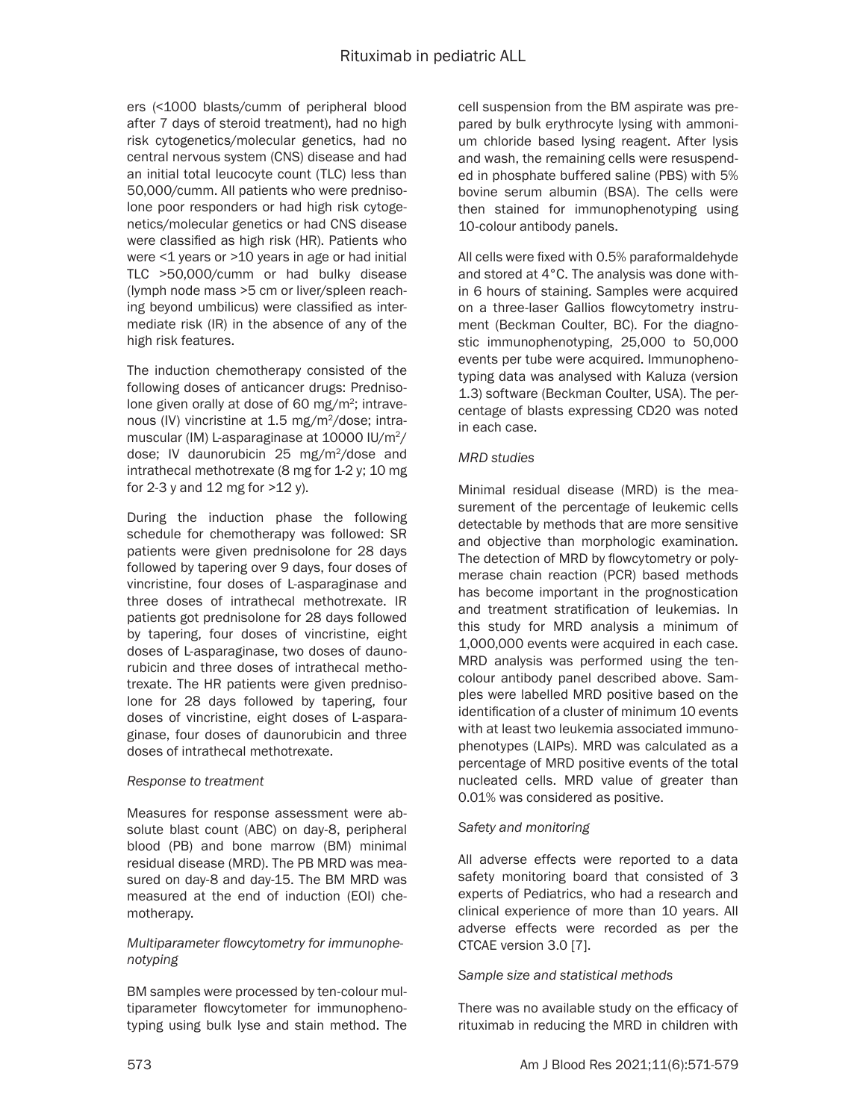ers (<1000 blasts/cumm of peripheral blood after 7 days of steroid treatment), had no high risk cytogenetics/molecular genetics, had no central nervous system (CNS) disease and had an initial total leucocyte count (TLC) less than 50,000/cumm. All patients who were prednisolone poor responders or had high risk cytogenetics/molecular genetics or had CNS disease were classified as high risk (HR). Patients who were <1 years or >10 years in age or had initial TLC >50,000/cumm or had bulky disease (lymph node mass >5 cm or liver/spleen reaching beyond umbilicus) were classified as intermediate risk (IR) in the absence of any of the high risk features.

The induction chemotherapy consisted of the following doses of anticancer drugs: Prednisolone given orally at dose of 60 mg/m2; intravenous (IV) vincristine at 1.5 mg/m<sup>2</sup>/dose; intramuscular (IM) L-asparaginase at 10000 IU/m2/ dose; IV daunorubicin 25 mg/m<sup>2</sup>/dose and intrathecal methotrexate (8 mg for 1-2 y; 10 mg for 2-3 y and 12 mg for >12 y).

During the induction phase the following schedule for chemotherapy was followed: SR patients were given prednisolone for 28 days followed by tapering over 9 days, four doses of vincristine, four doses of L-asparaginase and three doses of intrathecal methotrexate. IR patients got prednisolone for 28 days followed by tapering, four doses of vincristine, eight doses of L-asparaginase, two doses of daunorubicin and three doses of intrathecal methotrexate. The HR patients were given prednisolone for 28 days followed by tapering, four doses of vincristine, eight doses of L-asparaginase, four doses of daunorubicin and three doses of intrathecal methotrexate.

## *Response to treatment*

Measures for response assessment were absolute blast count (ABC) on day-8, peripheral blood (PB) and bone marrow (BM) minimal residual disease (MRD). The PB MRD was measured on day-8 and day-15. The BM MRD was measured at the end of induction (EOI) chemotherapy.

## *Multiparameter flowcytometry for immunophenotyping*

BM samples were processed by ten-colour multiparameter flowcytometer for immunophenotyping using bulk lyse and stain method. The cell suspension from the BM aspirate was prepared by bulk erythrocyte lysing with ammonium chloride based lysing reagent. After lysis and wash, the remaining cells were resuspended in phosphate buffered saline (PBS) with 5% bovine serum albumin (BSA). The cells were then stained for immunophenotyping using 10-colour antibody panels.

All cells were fixed with 0.5% paraformaldehyde and stored at 4°C. The analysis was done within 6 hours of staining. Samples were acquired on a three-laser Gallios flowcytometry instrument (Beckman Coulter, BC). For the diagnostic immunophenotyping, 25,000 to 50,000 events per tube were acquired. Immunophenotyping data was analysed with Kaluza (version 1.3) software (Beckman Coulter, USA). The percentage of blasts expressing CD20 was noted in each case.

## *MRD studies*

Minimal residual disease (MRD) is the measurement of the percentage of leukemic cells detectable by methods that are more sensitive and objective than morphologic examination. The detection of MRD by flowcytometry or polymerase chain reaction (PCR) based methods has become important in the prognostication and treatment stratification of leukemias. In this study for MRD analysis a minimum of 1,000,000 events were acquired in each case. MRD analysis was performed using the tencolour antibody panel described above. Samples were labelled MRD positive based on the identification of a cluster of minimum 10 events with at least two leukemia associated immunophenotypes (LAIPs). MRD was calculated as a percentage of MRD positive events of the total nucleated cells. MRD value of greater than 0.01% was considered as positive.

## *Safety and monitoring*

All adverse effects were reported to a data safety monitoring board that consisted of 3 experts of Pediatrics, who had a research and clinical experience of more than 10 years. All adverse effects were recorded as per the CTCAE version 3.0 [7].

## *Sample size and statistical methods*

There was no available study on the efficacy of rituximab in reducing the MRD in children with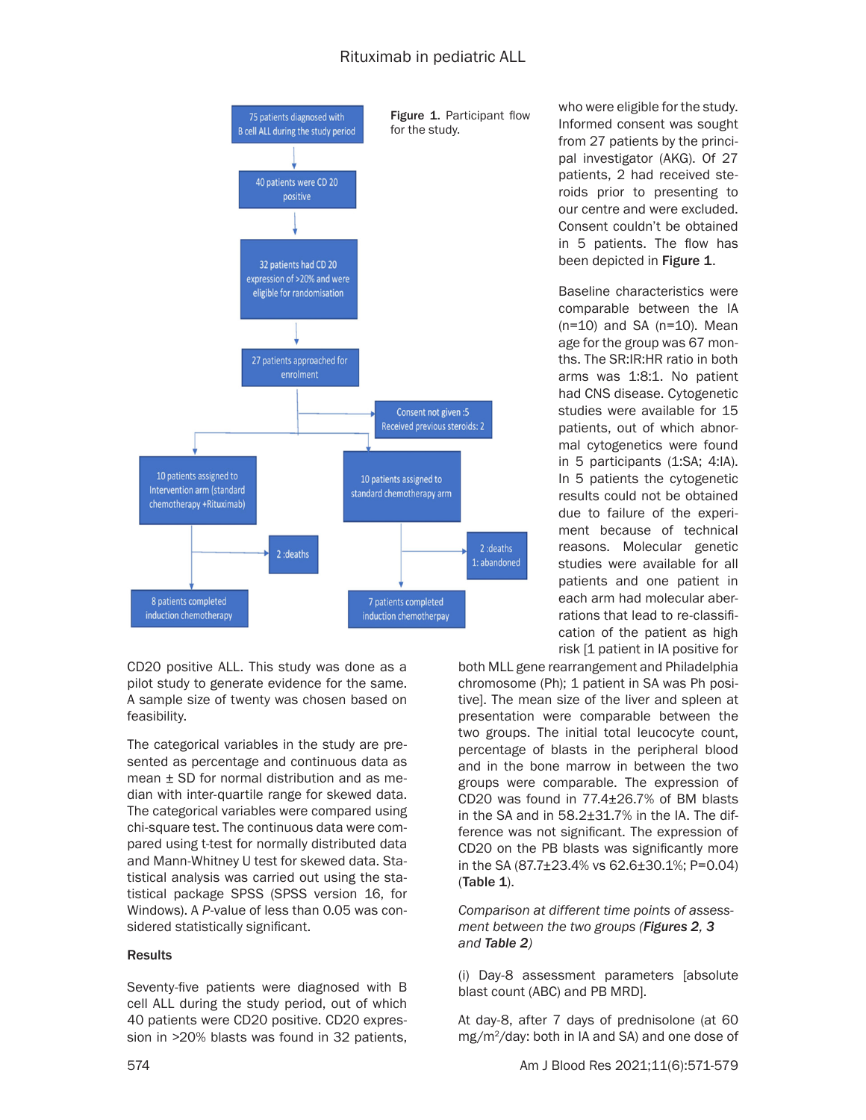## Rituximab in pediatric ALL



CD20 positive ALL. This study was done as a pilot study to generate evidence for the same. A sample size of twenty was chosen based on feasibility.

The categorical variables in the study are presented as percentage and continuous data as mean ± SD for normal distribution and as median with inter-quartile range for skewed data. The categorical variables were compared using chi-square test. The continuous data were compared using t-test for normally distributed data and Mann-Whitney U test for skewed data. Statistical analysis was carried out using the statistical package SPSS (SPSS version 16, for Windows). A *P*-value of less than 0.05 was considered statistically significant.

## **Results**

Seventy-five patients were diagnosed with B cell ALL during the study period, out of which 40 patients were CD20 positive. CD20 expression in >20% blasts was found in 32 patients, who were eligible for the study. Informed consent was sought from 27 patients by the principal investigator (AKG). Of 27 patients, 2 had received steroids prior to presenting to our centre and were excluded. Consent couldn't be obtained in 5 patients. The flow has been depicted in **Figure 1.** 

Baseline characteristics were comparable between the IA  $(n=10)$  and SA  $(n=10)$ . Mean age for the group was 67 months. The SR:IR:HR ratio in both arms was 1:8:1. No patient had CNS disease. Cytogenetic studies were available for 15 patients, out of which abnormal cytogenetics were found in 5 participants (1:SA; 4:IA). In 5 patients the cytogenetic results could not be obtained due to failure of the experiment because of technical reasons. Molecular genetic studies were available for all patients and one patient in each arm had molecular aberrations that lead to re-classification of the patient as high risk [1 patient in IA positive for

both MLL gene rearrangement and Philadelphia chromosome (Ph); 1 patient in SA was Ph positive]. The mean size of the liver and spleen at presentation were comparable between the two groups. The initial total leucocyte count, percentage of blasts in the peripheral blood and in the bone marrow in between the two groups were comparable. The expression of CD20 was found in 77.4±26.7% of BM blasts in the SA and in 58.2±31.7% in the IA. The difference was not significant. The expression of CD20 on the PB blasts was significantly more in the SA (87.7±23.4% vs 62.6±30.1%; P=0.04) (Table 1).

*Comparison at different time points of assessment between the two groups (Figures 2, 3 and Table 2)*

(i) Day-8 assessment parameters [absolute blast count (ABC) and PB MRD].

At day-8, after 7 days of prednisolone (at 60 mg/m2/day: both in IA and SA) and one dose of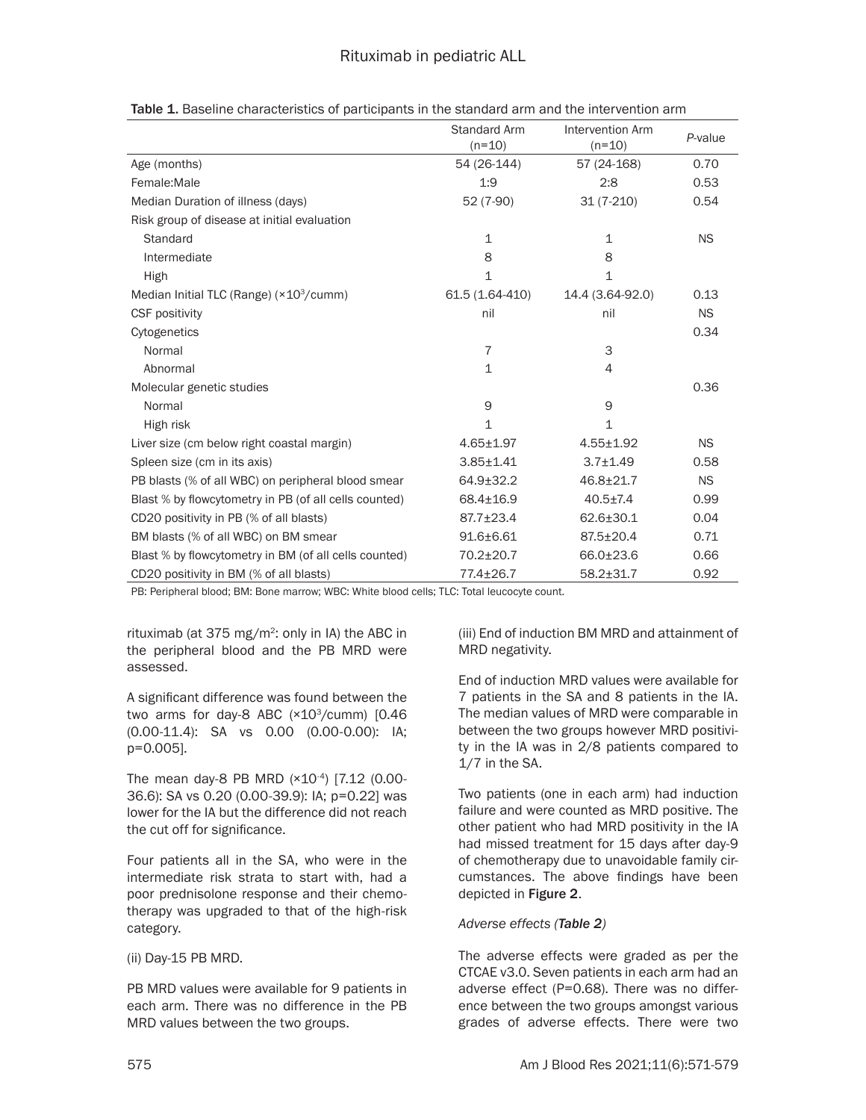|                                                       | Standard Arm<br>$(n=10)$ | <b>Intervention Arm</b><br>$(n=10)$ | P-value   |
|-------------------------------------------------------|--------------------------|-------------------------------------|-----------|
| Age (months)                                          | 54 (26-144)              | 57 (24-168)                         | 0.70      |
| Female: Male                                          | 1:9                      | 2:8                                 | 0.53      |
| Median Duration of illness (days)                     | 52 (7-90)                | $31(7-210)$                         | 0.54      |
| Risk group of disease at initial evaluation           |                          |                                     |           |
| Standard                                              | $\mathbf{1}$             | 1                                   | <b>NS</b> |
| Intermediate                                          | 8                        | 8                                   |           |
| High                                                  | $\mathbf{1}$             | 1                                   |           |
| Median Initial TLC (Range) (×10 <sup>3</sup> /cumm)   | 61.5 (1.64-410)          | 14.4 (3.64-92.0)                    | 0.13      |
| <b>CSF positivity</b>                                 | nil                      | nil                                 | <b>NS</b> |
| Cytogenetics                                          |                          |                                     | 0.34      |
| Normal                                                | $\overline{7}$           | 3                                   |           |
| Abnormal                                              | 1                        | 4                                   |           |
| Molecular genetic studies                             |                          |                                     | 0.36      |
| Normal                                                | 9                        | 9                                   |           |
| High risk                                             | $\mathbf{1}$             | 1                                   |           |
| Liver size (cm below right coastal margin)            | $4.65 \pm 1.97$          | $4.55 \pm 1.92$                     | <b>NS</b> |
| Spleen size (cm in its axis)                          | $3.85 \pm 1.41$          | $3.7 \pm 1.49$                      | 0.58      |
| PB blasts (% of all WBC) on peripheral blood smear    | 64.9±32.2                | $46.8 \pm 21.7$                     | <b>NS</b> |
| Blast % by flowcytometry in PB (of all cells counted) | 68.4±16.9                | $40.5 \pm 7.4$                      | 0.99      |
| CD20 positivity in PB (% of all blasts)               | 87.7±23.4                | $62.6 \pm 30.1$                     | 0.04      |
| BM blasts (% of all WBC) on BM smear                  | $91.6 \pm 6.61$          | $87.5 \pm 20.4$                     | 0.71      |
| Blast % by flowcytometry in BM (of all cells counted) | 70.2±20.7                | 66.0±23.6                           | 0.66      |
| CD20 positivity in BM (% of all blasts)               | 77.4±26.7                | $58.2 + 31.7$                       | 0.92      |

PB: Peripheral blood; BM: Bone marrow; WBC: White blood cells; TLC: Total leucocyte count.

rituximab (at 375 mg/m<sup>2</sup>: only in IA) the ABC in the peripheral blood and the PB MRD were assessed.

A significant difference was found between the two arms for day-8 ABC (×103/cumm) [0.46 (0.00-11.4): SA vs 0.00 (0.00-0.00): IA; p=0.005].

The mean day-8 PB MRD  $(x10^{-4})$  [7.12 (0.00-36.6): SA vs 0.20 (0.00-39.9): IA; p=0.22] was lower for the IA but the difference did not reach the cut off for significance.

Four patients all in the SA, who were in the intermediate risk strata to start with, had a poor prednisolone response and their chemotherapy was upgraded to that of the high-risk category.

(ii) Day-15 PB MRD.

PB MRD values were available for 9 patients in each arm. There was no difference in the PB MRD values between the two groups.

(iii) End of induction BM MRD and attainment of MRD negativity.

End of induction MRD values were available for 7 patients in the SA and 8 patients in the IA. The median values of MRD were comparable in between the two groups however MRD positivity in the IA was in 2/8 patients compared to 1/7 in the SA.

Two patients (one in each arm) had induction failure and were counted as MRD positive. The other patient who had MRD positivity in the IA had missed treatment for 15 days after day-9 of chemotherapy due to unavoidable family circumstances. The above findings have been depicted in Figure 2.

# *Adverse effects (Table 2)*

The adverse effects were graded as per the CTCAE v3.0. Seven patients in each arm had an adverse effect (P=0.68). There was no difference between the two groups amongst various grades of adverse effects. There were two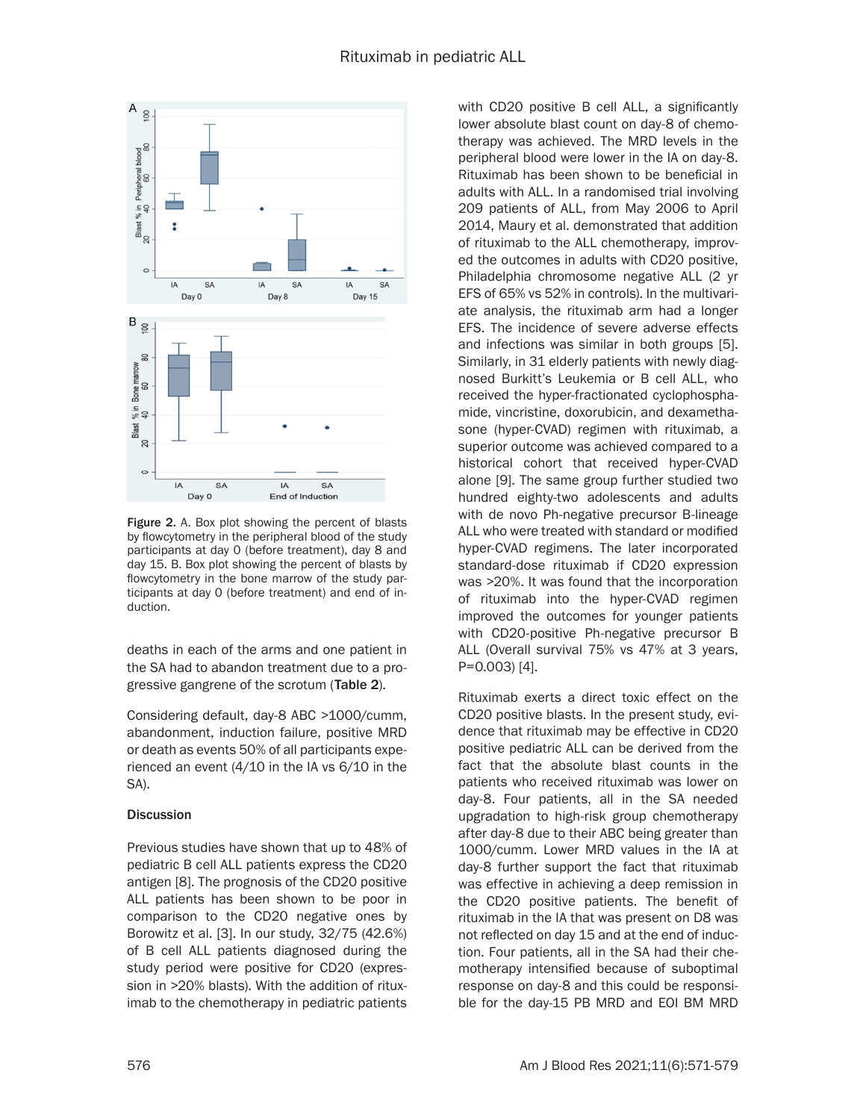

Figure 2. A. Box plot showing the percent of blasts by flowcytometry in the peripheral blood of the study participants at day 0 (before treatment), day 8 and day 15. B. Box plot showing the percent of blasts by flowcytometry in the bone marrow of the study participants at day 0 (before treatment) and end of induction.

deaths in each of the arms and one patient in the SA had to abandon treatment due to a progressive gangrene of the scrotum (Table 2).

Considering default, day-8 ABC >1000/cumm, abandonment, induction failure, positive MRD or death as events 50% of all participants experienced an event (4/10 in the IA vs 6/10 in the SA).

## **Discussion**

Previous studies have shown that up to 48% of pediatric B cell ALL patients express the CD20 antigen [8]. The prognosis of the CD20 positive ALL patients has been shown to be poor in comparison to the CD20 negative ones by Borowitz et al. [3]. In our study, 32/75 (42.6%) of B cell ALL patients diagnosed during the study period were positive for CD20 (expression in >20% blasts). With the addition of rituximab to the chemotherapy in pediatric patients with CD20 positive B cell ALL, a significantly lower absolute blast count on day-8 of chemotherapy was achieved. The MRD levels in the peripheral blood were lower in the IA on day-8. Rituximab has been shown to be beneficial in adults with ALL. In a randomised trial involving 209 patients of ALL, from May 2006 to April 2014, Maury et al. demonstrated that addition of rituximab to the ALL chemotherapy, improved the outcomes in adults with CD20 positive, Philadelphia chromosome negative ALL (2 yr EFS of 65% vs 52% in controls). In the multivariate analysis, the rituximab arm had a longer EFS. The incidence of severe adverse effects and infections was similar in both groups [5]. Similarly, in 31 elderly patients with newly diagnosed Burkitt's Leukemia or B cell ALL, who received the hyper-fractionated cyclophosphamide, vincristine, doxorubicin, and dexamethasone (hyper-CVAD) regimen with rituximab, a superior outcome was achieved compared to a historical cohort that received hyper-CVAD alone [9]. The same group further studied two hundred eighty-two adolescents and adults with de novo Ph-negative precursor B-lineage ALL who were treated with standard or modified hyper-CVAD regimens. The later incorporated standard-dose rituximab if CD20 expression was >20%. It was found that the incorporation of rituximab into the hyper-CVAD regimen improved the outcomes for younger patients with CD20-positive Ph-negative precursor B ALL (Overall survival 75% vs 47% at 3 years, P=0.003) [4].

Rituximab exerts a direct toxic effect on the CD20 positive blasts. In the present study, evidence that rituximab may be effective in CD20 positive pediatric ALL can be derived from the fact that the absolute blast counts in the patients who received rituximab was lower on day-8. Four patients, all in the SA needed upgradation to high-risk group chemotherapy after day-8 due to their ABC being greater than 1000/cumm. Lower MRD values in the IA at day-8 further support the fact that rituximab was effective in achieving a deep remission in the CD20 positive patients. The benefit of rituximab in the IA that was present on D8 was not reflected on day 15 and at the end of induction. Four patients, all in the SA had their chemotherapy intensified because of suboptimal response on day-8 and this could be responsible for the day-15 PB MRD and EOI BM MRD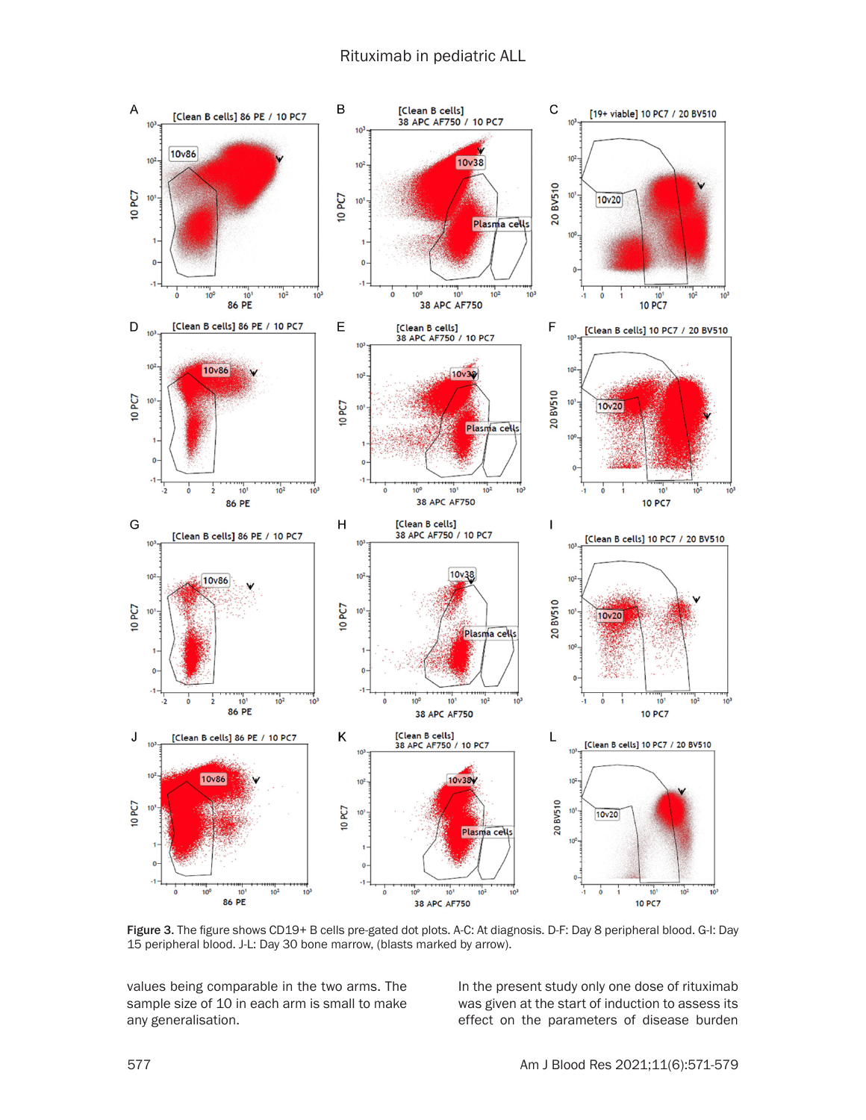## Rituximab in pediatric ALL



Figure 3. The figure shows CD19+ B cells pre-gated dot plots. A-C: At diagnosis. D-F: Day 8 peripheral blood. G-I: Day 15 peripheral blood. J-L: Day 30 bone marrow, (blasts marked by arrow).

values being comparable in the two arms. The sample size of 10 in each arm is small to make any generalisation.

In the present study only one dose of rituximab was given at the start of induction to assess its effect on the parameters of disease burden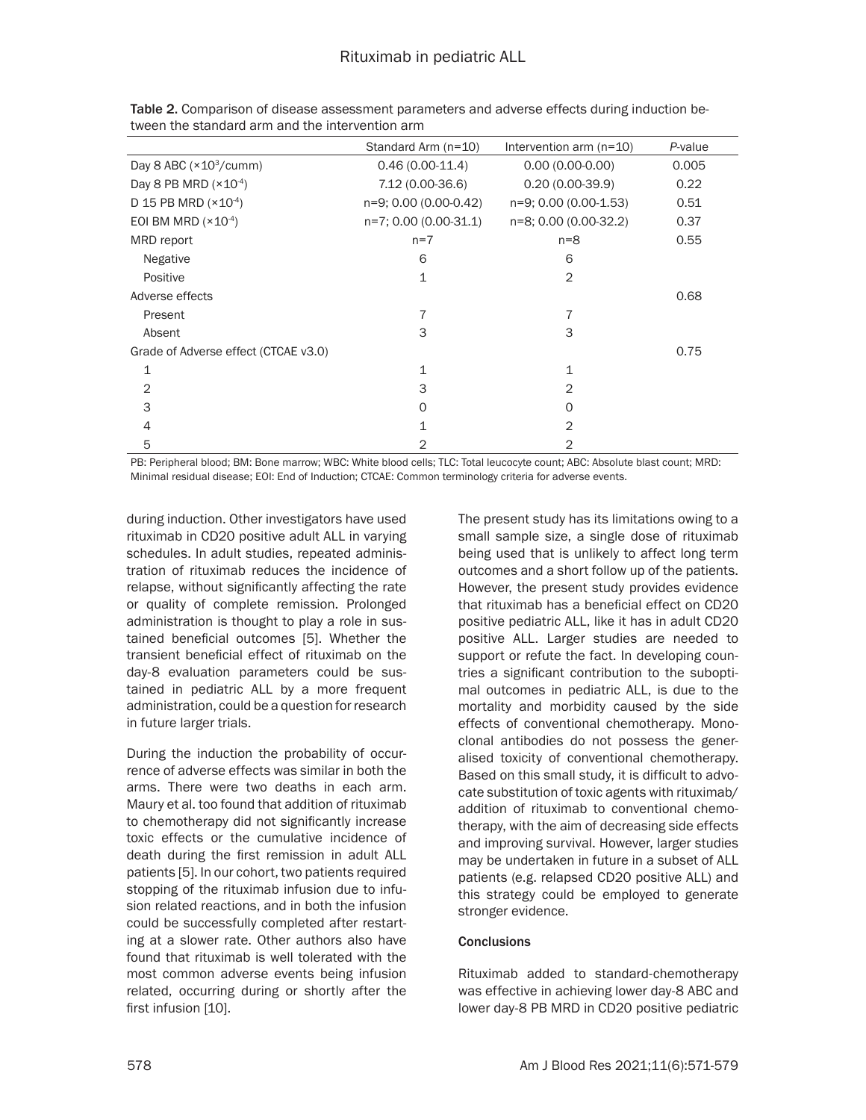|                                      | Standard Arm (n=10)   | Intervention arm $(n=10)$ | P-value |
|--------------------------------------|-----------------------|---------------------------|---------|
| Day 8 ABC $(\times 10^3$ /cumm)      | $0.46(0.00-11.4)$     | $0.00(0.00-0.00)$         | 0.005   |
| Day 8 PB MRD $(\times 10^4)$         | 7.12 (0.00-36.6)      | $0.20(0.00-39.9)$         | 0.22    |
| D 15 PB MRD (× 10 <sup>-4</sup> )    | n=9; 0.00 (0.00-0.42) | n=9; 0.00 (0.00-1.53)     | 0.51    |
| EOI BM MRD $(\times 10^{-4})$        | n=7; 0.00 (0.00-31.1) | n=8; 0.00 (0.00-32.2)     | 0.37    |
| MRD report                           | $n=7$                 | $n = 8$                   | 0.55    |
| Negative                             | 6                     | 6                         |         |
| Positive                             | 1                     | $\overline{2}$            |         |
| Adverse effects                      |                       |                           | 0.68    |
| Present                              | 7                     | 7                         |         |
| Absent                               | 3                     | 3                         |         |
| Grade of Adverse effect (CTCAE v3.0) |                       |                           | 0.75    |
| 1                                    | 1                     | $\mathbf 1$               |         |
| 2                                    | 3                     | 2                         |         |
| 3                                    | O                     | $\Omega$                  |         |
| 4                                    |                       | 2                         |         |
| 5                                    | 2                     | 2                         |         |

Table 2. Comparison of disease assessment parameters and adverse effects during induction between the standard arm and the intervention arm

PB: Peripheral blood; BM: Bone marrow; WBC: White blood cells; TLC: Total leucocyte count; ABC: Absolute blast count; MRD: Minimal residual disease; EOI: End of Induction; CTCAE: Common terminology criteria for adverse events.

during induction. Other investigators have used rituximab in CD20 positive adult ALL in varying schedules. In adult studies, repeated administration of rituximab reduces the incidence of relapse, without significantly affecting the rate or quality of complete remission. Prolonged administration is thought to play a role in sustained beneficial outcomes [5]. Whether the transient beneficial effect of rituximab on the day-8 evaluation parameters could be sustained in pediatric ALL by a more frequent administration, could be a question for research in future larger trials.

During the induction the probability of occurrence of adverse effects was similar in both the arms. There were two deaths in each arm. Maury et al. too found that addition of rituximab to chemotherapy did not significantly increase toxic effects or the cumulative incidence of death during the first remission in adult ALL patients [5]. In our cohort, two patients required stopping of the rituximab infusion due to infusion related reactions, and in both the infusion could be successfully completed after restarting at a slower rate. Other authors also have found that rituximab is well tolerated with the most common adverse events being infusion related, occurring during or shortly after the first infusion [10].

The present study has its limitations owing to a small sample size, a single dose of rituximab being used that is unlikely to affect long term outcomes and a short follow up of the patients. However, the present study provides evidence that rituximab has a beneficial effect on CD20 positive pediatric ALL, like it has in adult CD20 positive ALL. Larger studies are needed to support or refute the fact. In developing countries a significant contribution to the suboptimal outcomes in pediatric ALL, is due to the mortality and morbidity caused by the side effects of conventional chemotherapy. Monoclonal antibodies do not possess the generalised toxicity of conventional chemotherapy. Based on this small study, it is difficult to advocate substitution of toxic agents with rituximab/ addition of rituximab to conventional chemotherapy, with the aim of decreasing side effects and improving survival. However, larger studies may be undertaken in future in a subset of ALL patients (e.g. relapsed CD20 positive ALL) and this strategy could be employed to generate stronger evidence.

## **Conclusions**

Rituximab added to standard-chemotherapy was effective in achieving lower day-8 ABC and lower day-8 PB MRD in CD20 positive pediatric